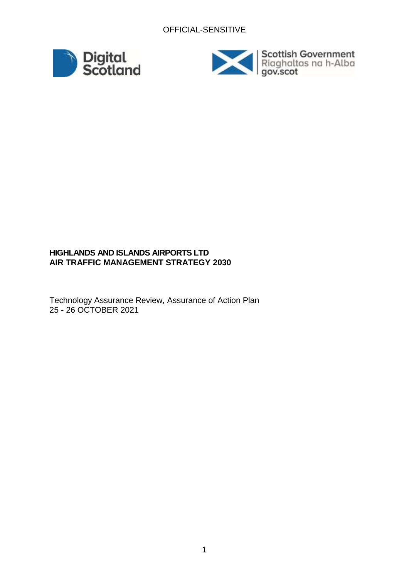



## **HIGHLANDS AND ISLANDS AIRPORTS LTD AIR TRAFFIC MANAGEMENT STRATEGY 2030**

Technology Assurance Review, Assurance of Action Plan 25 - 26 OCTOBER 2021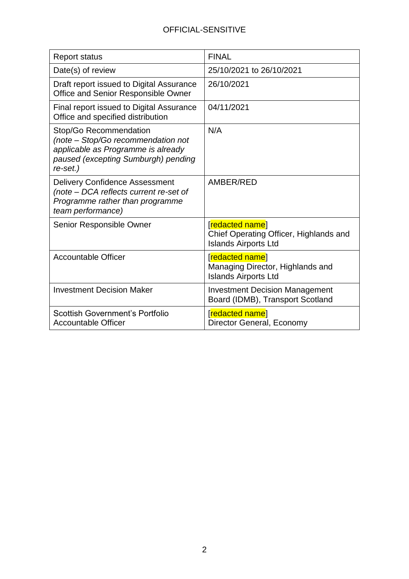| <b>Report status</b>                                                                                                                                  | <b>FINAL</b>                                                                             |
|-------------------------------------------------------------------------------------------------------------------------------------------------------|------------------------------------------------------------------------------------------|
| Date(s) of review                                                                                                                                     | 25/10/2021 to 26/10/2021                                                                 |
| Draft report issued to Digital Assurance<br>Office and Senior Responsible Owner                                                                       | 26/10/2021                                                                               |
| Final report issued to Digital Assurance<br>Office and specified distribution                                                                         | 04/11/2021                                                                               |
| Stop/Go Recommendation<br>(note - Stop/Go recommendation not<br>applicable as Programme is already<br>paused (excepting Sumburgh) pending<br>re-set.) | N/A                                                                                      |
| <b>Delivery Confidence Assessment</b><br>(note - DCA reflects current re-set of<br>Programme rather than programme<br>team performance)               | AMBER/RED                                                                                |
| Senior Responsible Owner                                                                                                                              | [redacted name]<br>Chief Operating Officer, Highlands and<br><b>Islands Airports Ltd</b> |
| <b>Accountable Officer</b>                                                                                                                            | [redacted name]<br>Managing Director, Highlands and<br><b>Islands Airports Ltd</b>       |
| <b>Investment Decision Maker</b>                                                                                                                      | <b>Investment Decision Management</b><br>Board (IDMB), Transport Scotland                |
| <b>Scottish Government's Portfolio</b><br><b>Accountable Officer</b>                                                                                  | [redacted name]<br>Director General, Economy                                             |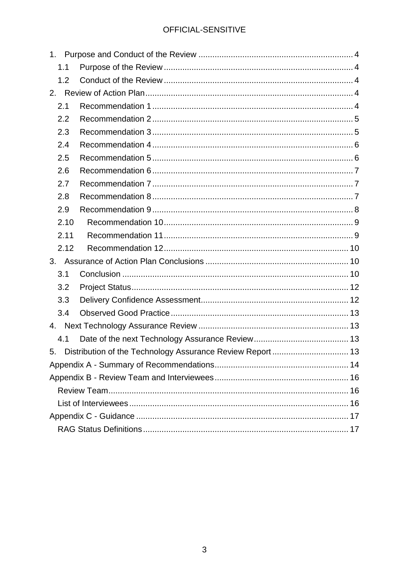| 1.1  |  |
|------|--|
| 1.2  |  |
| 2.   |  |
| 2.1  |  |
| 2.2  |  |
| 2.3  |  |
| 2.4  |  |
| 2.5  |  |
| 2.6  |  |
| 2.7  |  |
| 2.8  |  |
| 2.9  |  |
| 2.10 |  |
| 2.11 |  |
| 2.12 |  |
|      |  |
| 3.1  |  |
| 3.2  |  |
| 3.3  |  |
| 3.4  |  |
|      |  |
| 4.1  |  |
| 5.   |  |
|      |  |
|      |  |
|      |  |
|      |  |
|      |  |
|      |  |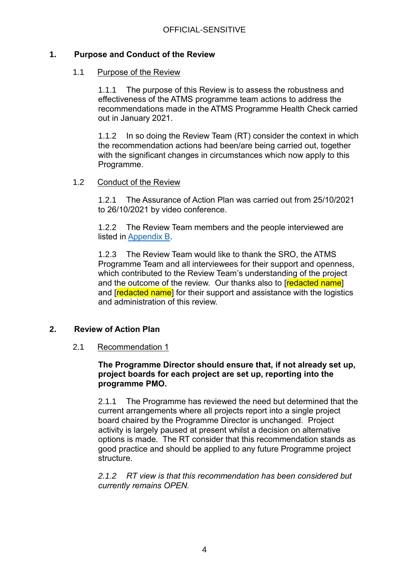## <span id="page-3-1"></span><span id="page-3-0"></span>**1. Purpose and Conduct of the Review**

#### 1.1 Purpose of the Review

1.1.1 The purpose of this Review is to assess the robustness and effectiveness of the ATMS programme team actions to address the recommendations made in the ATMS Programme Health Check carried out in January 2021.

1.1.2 In so doing the Review Team (RT) consider the context in which the recommendation actions had been/are being carried out, together with the significant changes in circumstances which now apply to this Programme.

#### <span id="page-3-2"></span>1.2 Conduct of the Review

1.2.1 The Assurance of Action Plan was carried out from 25/10/2021 to 26/10/2021 by video conference.

1.2.2 The Review Team members and the people interviewed are listed in [Appendix B.](#page-15-0)

1.2.3 The Review Team would like to thank the SRO, the ATMS Programme Team and all interviewees for their support and openness, which contributed to the Review Team's understanding of the project and the outcome of the review. Our thanks also to [redacted name] and **redacted name** for their support and assistance with the logistics and administration of this review.

## <span id="page-3-4"></span><span id="page-3-3"></span>**2. Review of Action Plan**

## 2.1 Recommendation 1

## **The Programme Director should ensure that, if not already set up, project boards for each project are set up, reporting into the programme PMO.**

2.1.1 The Programme has reviewed the need but determined that the current arrangements where all projects report into a single project board chaired by the Programme Director is unchanged. Project activity is largely paused at present whilst a decision on alternative options is made. The RT consider that this recommendation stands as good practice and should be applied to any future Programme project structure.

*2.1.2 RT view is that this recommendation has been considered but currently remains OPEN.*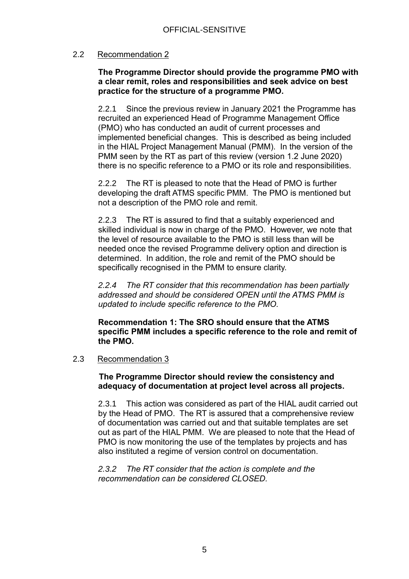## <span id="page-4-0"></span>2.2 Recommendation 2

## **The Programme Director should provide the programme PMO with a clear remit, roles and responsibilities and seek advice on best practice for the structure of a programme PMO.**

2.2.1 Since the previous review in January 2021 the Programme has recruited an experienced Head of Programme Management Office (PMO) who has conducted an audit of current processes and implemented beneficial changes. This is described as being included in the HIAL Project Management Manual (PMM). In the version of the PMM seen by the RT as part of this review (version 1.2 June 2020) there is no specific reference to a PMO or its role and responsibilities.

2.2.2 The RT is pleased to note that the Head of PMO is further developing the draft ATMS specific PMM. The PMO is mentioned but not a description of the PMO role and remit.

2.2.3 The RT is assured to find that a suitably experienced and skilled individual is now in charge of the PMO. However, we note that the level of resource available to the PMO is still less than will be needed once the revised Programme delivery option and direction is determined. In addition, the role and remit of the PMO should be specifically recognised in the PMM to ensure clarity.

*2.2.4 The RT consider that this recommendation has been partially addressed and should be considered OPEN until the ATMS PMM is updated to include specific reference to the PMO.*

**Recommendation 1: The SRO should ensure that the ATMS specific PMM includes a specific reference to the role and remit of the PMO.**

## <span id="page-4-1"></span>2.3 Recommendation 3

**The Programme Director should review the consistency and adequacy of documentation at project level across all projects.**

2.3.1 This action was considered as part of the HIAL audit carried out by the Head of PMO. The RT is assured that a comprehensive review of documentation was carried out and that suitable templates are set out as part of the HIAL PMM. We are pleased to note that the Head of PMO is now monitoring the use of the templates by projects and has also instituted a regime of version control on documentation.

*2.3.2 The RT consider that the action is complete and the recommendation can be considered CLOSED.*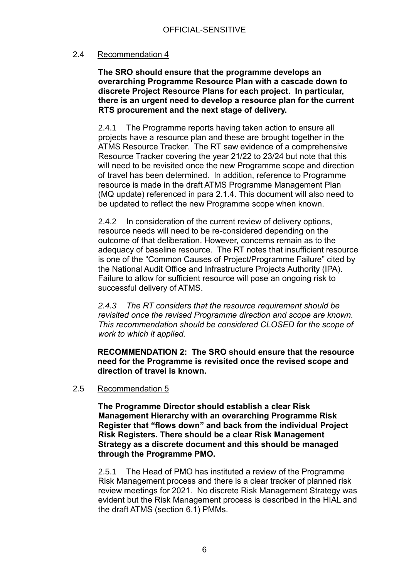## <span id="page-5-0"></span>2.4 Recommendation 4

**The SRO should ensure that the programme develops an overarching Programme Resource Plan with a cascade down to discrete Project Resource Plans for each project. In particular, there is an urgent need to develop a resource plan for the current RTS procurement and the next stage of delivery.**

2.4.1 The Programme reports having taken action to ensure all projects have a resource plan and these are brought together in the ATMS Resource Tracker. The RT saw evidence of a comprehensive Resource Tracker covering the year 21/22 to 23/24 but note that this will need to be revisited once the new Programme scope and direction of travel has been determined. In addition, reference to Programme resource is made in the draft ATMS Programme Management Plan (MQ update) referenced in para 2.1.4. This document will also need to be updated to reflect the new Programme scope when known.

2.4.2 In consideration of the current review of delivery options, resource needs will need to be re-considered depending on the outcome of that deliberation. However, concerns remain as to the adequacy of baseline resource. The RT notes that insufficient resource is one of the "Common Causes of Project/Programme Failure" cited by the National Audit Office and Infrastructure Projects Authority (IPA). Failure to allow for sufficient resource will pose an ongoing risk to successful delivery of ATMS.

*2.4.3 The RT considers that the resource requirement should be revisited once the revised Programme direction and scope are known. This recommendation should be considered CLOSED for the scope of work to which it applied.*

**RECOMMENDATION 2: The SRO should ensure that the resource need for the Programme is revisited once the revised scope and direction of travel is known.** 

## <span id="page-5-1"></span>2.5 Recommendation 5

**The Programme Director should establish a clear Risk Management Hierarchy with an overarching Programme Risk Register that "flows down" and back from the individual Project Risk Registers. There should be a clear Risk Management Strategy as a discrete document and this should be managed through the Programme PMO.**

2.5.1 The Head of PMO has instituted a review of the Programme Risk Management process and there is a clear tracker of planned risk review meetings for 2021. No discrete Risk Management Strategy was evident but the Risk Management process is described in the HIAL and the draft ATMS (section 6.1) PMMs.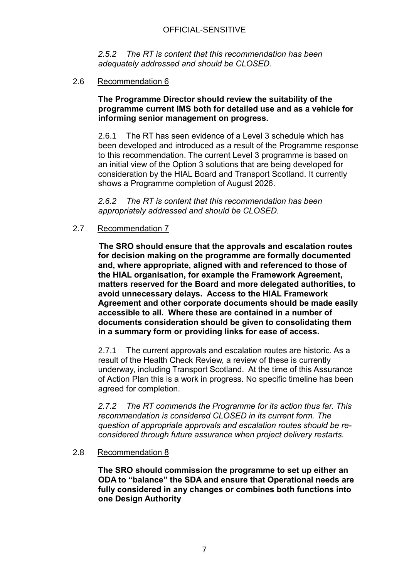*2.5.2 The RT is content that this recommendation has been adequately addressed and should be CLOSED.*

## <span id="page-6-0"></span>2.6 Recommendation 6

## **The Programme Director should review the suitability of the programme current IMS both for detailed use and as a vehicle for informing senior management on progress.**

2.6.1 The RT has seen evidence of a Level 3 schedule which has been developed and introduced as a result of the Programme response to this recommendation. The current Level 3 programme is based on an initial view of the Option 3 solutions that are being developed for consideration by the HIAL Board and Transport Scotland. It currently shows a Programme completion of August 2026.

*2.6.2 The RT is content that this recommendation has been appropriately addressed and should be CLOSED.*

## <span id="page-6-1"></span>2.7 Recommendation 7

**The SRO should ensure that the approvals and escalation routes for decision making on the programme are formally documented and, where appropriate, aligned with and referenced to those of the HIAL organisation, for example the Framework Agreement, matters reserved for the Board and more delegated authorities, to avoid unnecessary delays. Access to the HIAL Framework Agreement and other corporate documents should be made easily accessible to all. Where these are contained in a number of documents consideration should be given to consolidating them in a summary form or providing links for ease of access.**

2.7.1 The current approvals and escalation routes are historic. As a result of the Health Check Review, a review of these is currently underway, including Transport Scotland. At the time of this Assurance of Action Plan this is a work in progress. No specific timeline has been agreed for completion.

*2.7.2 The RT commends the Programme for its action thus far. This recommendation is considered CLOSED in its current form. The question of appropriate approvals and escalation routes should be reconsidered through future assurance when project delivery restarts.*

## <span id="page-6-2"></span>2.8 Recommendation 8

**The SRO should commission the programme to set up either an ODA to "balance" the SDA and ensure that Operational needs are fully considered in any changes or combines both functions into one Design Authority**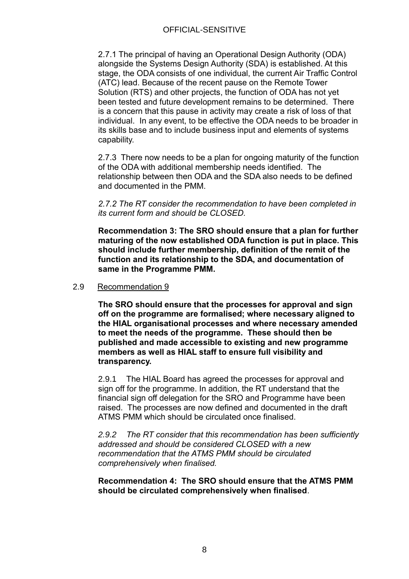2.7.1 The principal of having an Operational Design Authority (ODA) alongside the Systems Design Authority (SDA) is established. At this stage, the ODA consists of one individual, the current Air Traffic Control (ATC) lead. Because of the recent pause on the Remote Tower Solution (RTS) and other projects, the function of ODA has not yet been tested and future development remains to be determined. There is a concern that this pause in activity may create a risk of loss of that individual. In any event, to be effective the ODA needs to be broader in its skills base and to include business input and elements of systems capability.

2.7.3 There now needs to be a plan for ongoing maturity of the function of the ODA with additional membership needs identified. The relationship between then ODA and the SDA also needs to be defined and documented in the PMM.

*2.7.2 The RT consider the recommendation to have been completed in its current form and should be CLOSED.*

**Recommendation 3: The SRO should ensure that a plan for further maturing of the now established ODA function is put in place. This should include further membership, definition of the remit of the function and its relationship to the SDA, and documentation of same in the Programme PMM.**

## <span id="page-7-0"></span>2.9 Recommendation 9

**The SRO should ensure that the processes for approval and sign off on the programme are formalised; where necessary aligned to the HIAL organisational processes and where necessary amended to meet the needs of the programme. These should then be published and made accessible to existing and new programme members as well as HIAL staff to ensure full visibility and transparency.** 

2.9.1 The HIAL Board has agreed the processes for approval and sign off for the programme. In addition, the RT understand that the financial sign off delegation for the SRO and Programme have been raised. The processes are now defined and documented in the draft ATMS PMM which should be circulated once finalised.

*2.9.2 The RT consider that this recommendation has been sufficiently addressed and should be considered CLOSED with a new recommendation that the ATMS PMM should be circulated comprehensively when finalised.*

## **Recommendation 4: The SRO should ensure that the ATMS PMM should be circulated comprehensively when finalised**.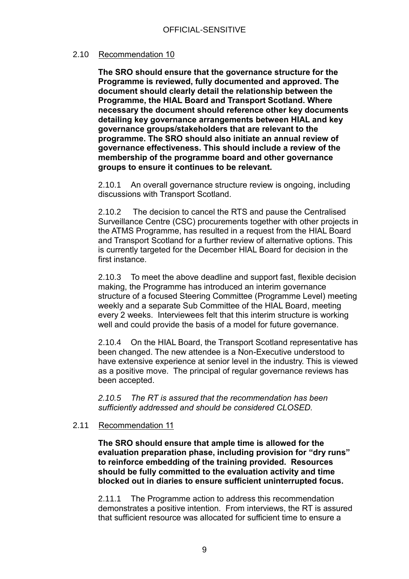## <span id="page-8-0"></span>2.10 Recommendation 10

**The SRO should ensure that the governance structure for the Programme is reviewed, fully documented and approved. The document should clearly detail the relationship between the Programme, the HIAL Board and Transport Scotland. Where necessary the document should reference other key documents detailing key governance arrangements between HIAL and key governance groups/stakeholders that are relevant to the programme. The SRO should also initiate an annual review of governance effectiveness. This should include a review of the membership of the programme board and other governance groups to ensure it continues to be relevant.** 

2.10.1 An overall governance structure review is ongoing, including discussions with Transport Scotland.

2.10.2 The decision to cancel the RTS and pause the Centralised Surveillance Centre (CSC) procurements together with other projects in the ATMS Programme, has resulted in a request from the HIAL Board and Transport Scotland for a further review of alternative options. This is currently targeted for the December HIAL Board for decision in the first instance.

2.10.3 To meet the above deadline and support fast, flexible decision making, the Programme has introduced an interim governance structure of a focused Steering Committee (Programme Level) meeting weekly and a separate Sub Committee of the HIAL Board, meeting every 2 weeks. Interviewees felt that this interim structure is working well and could provide the basis of a model for future governance.

2.10.4 On the HIAL Board, the Transport Scotland representative has been changed. The new attendee is a Non-Executive understood to have extensive experience at senior level in the industry. This is viewed as a positive move. The principal of regular governance reviews has been accepted.

*2.10.5 The RT is assured that the recommendation has been sufficiently addressed and should be considered CLOSED.*

## <span id="page-8-1"></span>2.11 Recommendation 11

**The SRO should ensure that ample time is allowed for the evaluation preparation phase, including provision for "dry runs" to reinforce embedding of the training provided. Resources should be fully committed to the evaluation activity and time blocked out in diaries to ensure sufficient uninterrupted focus.** 

2.11.1 The Programme action to address this recommendation demonstrates a positive intention. From interviews, the RT is assured that sufficient resource was allocated for sufficient time to ensure a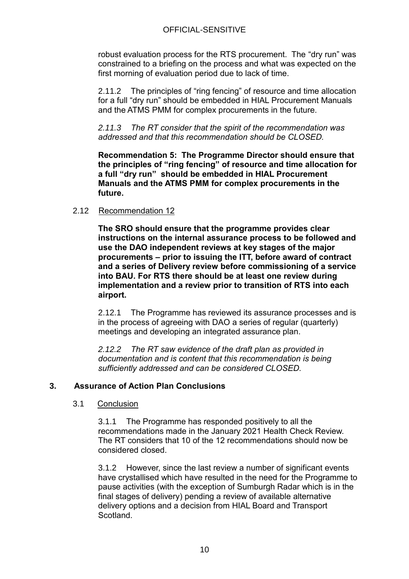robust evaluation process for the RTS procurement. The "dry run" was constrained to a briefing on the process and what was expected on the first morning of evaluation period due to lack of time.

2.11.2 The principles of "ring fencing" of resource and time allocation for a full "dry run" should be embedded in HIAL Procurement Manuals and the ATMS PMM for complex procurements in the future.

*2.11.3 The RT consider that the spirit of the recommendation was addressed and that this recommendation should be CLOSED.*

**Recommendation 5: The Programme Director should ensure that the principles of "ring fencing" of resource and time allocation for a full "dry run" should be embedded in HIAL Procurement Manuals and the ATMS PMM for complex procurements in the future.**

## <span id="page-9-0"></span>2.12 Recommendation 12

**The SRO should ensure that the programme provides clear instructions on the internal assurance process to be followed and use the DAO independent reviews at key stages of the major procurements – prior to issuing the ITT, before award of contract and a series of Delivery review before commissioning of a service into BAU. For RTS there should be at least one review during implementation and a review prior to transition of RTS into each airport.**

2.12.1 The Programme has reviewed its assurance processes and is in the process of agreeing with DAO a series of regular (quarterly) meetings and developing an integrated assurance plan.

*2.12.2 The RT saw evidence of the draft plan as provided in documentation and is content that this recommendation is being sufficiently addressed and can be considered CLOSED.*

## <span id="page-9-2"></span><span id="page-9-1"></span>**3. Assurance of Action Plan Conclusions**

## 3.1 Conclusion

3.1.1 The Programme has responded positively to all the recommendations made in the January 2021 Health Check Review. The RT considers that 10 of the 12 recommendations should now be considered closed.

3.1.2 However, since the last review a number of significant events have crystallised which have resulted in the need for the Programme to pause activities (with the exception of Sumburgh Radar which is in the final stages of delivery) pending a review of available alternative delivery options and a decision from HIAL Board and Transport **Scotland**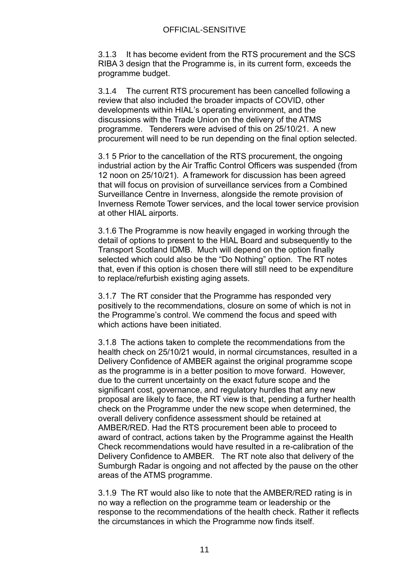3.1.3 It has become evident from the RTS procurement and the SCS RIBA 3 design that the Programme is, in its current form, exceeds the programme budget.

3.1.4 The current RTS procurement has been cancelled following a review that also included the broader impacts of COVID, other developments within HIAL's operating environment, and the discussions with the Trade Union on the delivery of the ATMS programme. Tenderers were advised of this on 25/10/21. A new procurement will need to be run depending on the final option selected.

3.1 5 Prior to the cancellation of the RTS procurement, the ongoing industrial action by the Air Traffic Control Officers was suspended (from 12 noon on 25/10/21). A framework for discussion has been agreed that will focus on provision of surveillance services from a Combined Surveillance Centre in Inverness, alongside the remote provision of Inverness Remote Tower services, and the local tower service provision at other HIAL airports.

3.1.6 The Programme is now heavily engaged in working through the detail of options to present to the HIAL Board and subsequently to the Transport Scotland IDMB. Much will depend on the option finally selected which could also be the "Do Nothing" option. The RT notes that, even if this option is chosen there will still need to be expenditure to replace/refurbish existing aging assets.

3.1.7 The RT consider that the Programme has responded very positively to the recommendations, closure on some of which is not in the Programme's control. We commend the focus and speed with which actions have been initiated.

3.1.8 The actions taken to complete the recommendations from the health check on 25/10/21 would, in normal circumstances, resulted in a Delivery Confidence of AMBER against the original programme scope as the programme is in a better position to move forward. However, due to the current uncertainty on the exact future scope and the significant cost, governance, and regulatory hurdles that any new proposal are likely to face, the RT view is that, pending a further health check on the Programme under the new scope when determined, the overall delivery confidence assessment should be retained at AMBER/RED. Had the RTS procurement been able to proceed to award of contract, actions taken by the Programme against the Health Check recommendations would have resulted in a re-calibration of the Delivery Confidence to AMBER. The RT note also that delivery of the Sumburgh Radar is ongoing and not affected by the pause on the other areas of the ATMS programme.

3.1.9 The RT would also like to note that the AMBER/RED rating is in no way a reflection on the programme team or leadership or the response to the recommendations of the health check. Rather it reflects the circumstances in which the Programme now finds itself.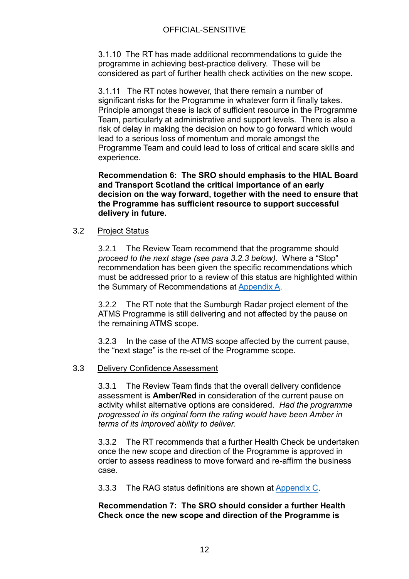3.1.10 The RT has made additional recommendations to guide the programme in achieving best-practice delivery. These will be considered as part of further health check activities on the new scope.

3.1.11 The RT notes however, that there remain a number of significant risks for the Programme in whatever form it finally takes. Principle amongst these is lack of sufficient resource in the Programme Team, particularly at administrative and support levels. There is also a risk of delay in making the decision on how to go forward which would lead to a serious loss of momentum and morale amongst the Programme Team and could lead to loss of critical and scare skills and experience.

**Recommendation 6: The SRO should emphasis to the HIAL Board and Transport Scotland the critical importance of an early decision on the way forward, together with the need to ensure that the Programme has sufficient resource to support successful delivery in future.** 

## <span id="page-11-0"></span>3.2 Project Status

3.2.1 The Review Team recommend that the programme should *proceed to the next stage (see para 3.2.3 below)*. Where a "Stop" recommendation has been given the specific recommendations which must be addressed prior to a review of this status are highlighted within the Summary of Recommendations at [Appendix A.](#page-13-0)

3.2.2 The RT note that the Sumburgh Radar project element of the ATMS Programme is still delivering and not affected by the pause on the remaining ATMS scope.

3.2.3 In the case of the ATMS scope affected by the current pause, the "next stage" is the re-set of the Programme scope.

## <span id="page-11-1"></span>3.3 Delivery Confidence Assessment

3.3.1 The Review Team finds that the overall delivery confidence assessment is **Amber/Red** in consideration of the current pause on activity whilst alternative options are considered. *Had the programme progressed in its original form the rating would have been Amber in terms of its improved ability to deliver.* 

3.3.2 The RT recommends that a further Health Check be undertaken once the new scope and direction of the Programme is approved in order to assess readiness to move forward and re-affirm the business case.

3.3.3 The RAG status definitions are shown at [Appendix C.](#page-16-0)

## **Recommendation 7: The SRO should consider a further Health Check once the new scope and direction of the Programme is**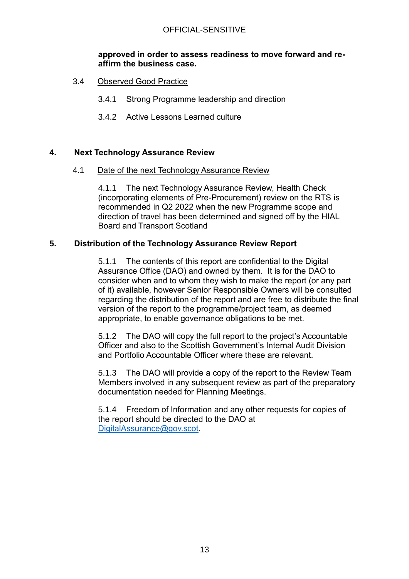## **approved in order to assess readiness to move forward and reaffirm the business case.**

- <span id="page-12-0"></span>3.4 Observed Good Practice
	- 3.4.1 Strong Programme leadership and direction
	- 3.4.2 Active Lessons Learned culture

## <span id="page-12-2"></span><span id="page-12-1"></span>**4. Next Technology Assurance Review**

4.1 Date of the next Technology Assurance Review

4.1.1 The next Technology Assurance Review, Health Check (incorporating elements of Pre-Procurement) review on the RTS is recommended in Q2 2022 when the new Programme scope and direction of travel has been determined and signed off by the HIAL Board and Transport Scotland

## <span id="page-12-3"></span>**5. Distribution of the Technology Assurance Review Report**

5.1.1 The contents of this report are confidential to the Digital Assurance Office (DAO) and owned by them. It is for the DAO to consider when and to whom they wish to make the report (or any part of it) available, however Senior Responsible Owners will be consulted regarding the distribution of the report and are free to distribute the final version of the report to the programme/project team, as deemed appropriate, to enable governance obligations to be met.

5.1.2 The DAO will copy the full report to the project's Accountable Officer and also to the Scottish Government's Internal Audit Division and Portfolio Accountable Officer where these are relevant.

5.1.3 The DAO will provide a copy of the report to the Review Team Members involved in any subsequent review as part of the preparatory documentation needed for Planning Meetings.

5.1.4 Freedom of Information and any other requests for copies of the report should be directed to the DAO at [DigitalAssurance@gov.scot.](mailto:DigitalAssurance@gov.scot)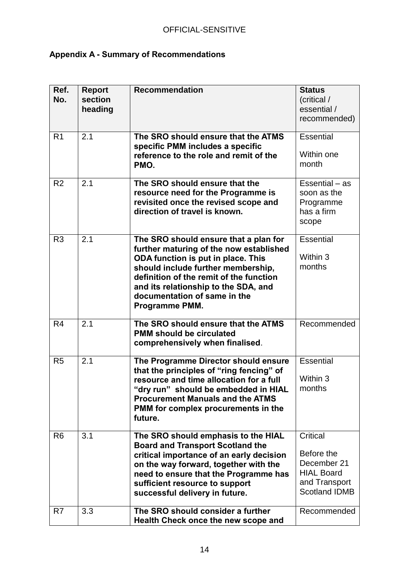# <span id="page-13-0"></span>**Appendix A - Summary of Recommendations**

| Ref.<br>No.    | <b>Report</b><br>section<br>heading | <b>Recommendation</b>                                                                                                                                                                                                                                                                             | <b>Status</b><br>(critical /<br>essential /<br>recommended)                                         |
|----------------|-------------------------------------|---------------------------------------------------------------------------------------------------------------------------------------------------------------------------------------------------------------------------------------------------------------------------------------------------|-----------------------------------------------------------------------------------------------------|
| R <sub>1</sub> | 2.1                                 | The SRO should ensure that the ATMS<br>specific PMM includes a specific<br>reference to the role and remit of the<br>PMO.                                                                                                                                                                         | <b>Essential</b><br>Within one<br>month                                                             |
| R <sub>2</sub> | 2.1                                 | The SRO should ensure that the<br>resource need for the Programme is<br>revisited once the revised scope and<br>direction of travel is known.                                                                                                                                                     | Essential $-$ as<br>soon as the<br>Programme<br>has a firm<br>scope                                 |
| R <sub>3</sub> | 2.1                                 | The SRO should ensure that a plan for<br>further maturing of the now established<br>ODA function is put in place. This<br>should include further membership,<br>definition of the remit of the function<br>and its relationship to the SDA, and<br>documentation of same in the<br>Programme PMM. | <b>Essential</b><br>Within 3<br>months                                                              |
| R <sub>4</sub> | 2.1                                 | The SRO should ensure that the ATMS<br><b>PMM should be circulated</b><br>comprehensively when finalised.                                                                                                                                                                                         | Recommended                                                                                         |
| R <sub>5</sub> | 2.1                                 | The Programme Director should ensure<br>that the principles of "ring fencing" of<br>resource and time allocation for a full<br>"dry run" should be embedded in HIAL<br><b>Procurement Manuals and the ATMS</b><br>PMM for complex procurements in the<br>future.                                  | <b>Essential</b><br>Within 3<br>months                                                              |
| R <sub>6</sub> | 3.1                                 | The SRO should emphasis to the HIAL<br><b>Board and Transport Scotland the</b><br>critical importance of an early decision<br>on the way forward, together with the<br>need to ensure that the Programme has<br>sufficient resource to support<br>successful delivery in future.                  | Critical<br>Before the<br>December 21<br><b>HIAL Board</b><br>and Transport<br><b>Scotland IDMB</b> |
| R7             | 3.3                                 | The SRO should consider a further<br>Health Check once the new scope and                                                                                                                                                                                                                          | Recommended                                                                                         |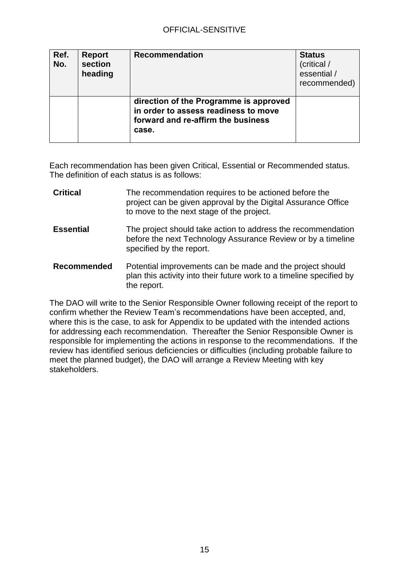| Ref.<br>No. | <b>Report</b><br>section<br>heading | <b>Recommendation</b>                                                                                                         | <b>Status</b><br>(critical /<br>essential /<br>recommended) |
|-------------|-------------------------------------|-------------------------------------------------------------------------------------------------------------------------------|-------------------------------------------------------------|
|             |                                     | direction of the Programme is approved<br>in order to assess readiness to move<br>forward and re-affirm the business<br>case. |                                                             |

Each recommendation has been given Critical, Essential or Recommended status. The definition of each status is as follows:

| <b>Critical</b>    | The recommendation requires to be actioned before the<br>project can be given approval by the Digital Assurance Office<br>to move to the next stage of the project. |
|--------------------|---------------------------------------------------------------------------------------------------------------------------------------------------------------------|
| <b>Essential</b>   | The project should take action to address the recommendation<br>before the next Technology Assurance Review or by a timeline<br>specified by the report.            |
| <b>Recommended</b> | Potential improvements can be made and the project should<br>plan this activity into their future work to a timeline specified by<br>the report.                    |

The DAO will write to the Senior Responsible Owner following receipt of the report to confirm whether the Review Team's recommendations have been accepted, and, where this is the case, to ask for Appendix to be updated with the intended actions for addressing each recommendation. Thereafter the Senior Responsible Owner is responsible for implementing the actions in response to the recommendations. If the review has identified serious deficiencies or difficulties (including probable failure to meet the planned budget), the DAO will arrange a Review Meeting with key stakeholders.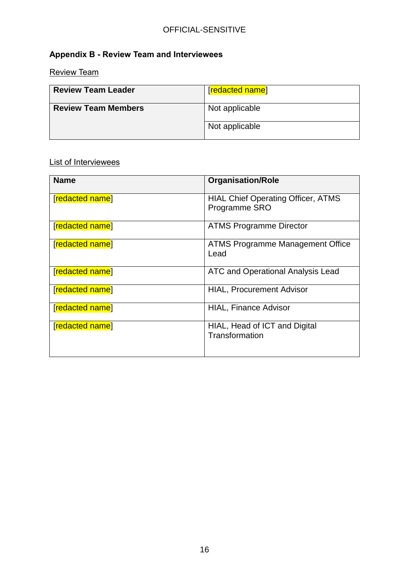# <span id="page-15-0"></span>**Appendix B - Review Team and Interviewees**

<span id="page-15-1"></span>Review Team

| <b>Review Team Leader</b>  | [redacted name] |
|----------------------------|-----------------|
| <b>Review Team Members</b> | Not applicable  |
|                            | Not applicable  |

## <span id="page-15-2"></span>List of Interviewees

| <b>Name</b>     | <b>Organisation/Role</b>                                   |
|-----------------|------------------------------------------------------------|
| [redacted name] | <b>HIAL Chief Operating Officer, ATMS</b><br>Programme SRO |
| [redacted name] | <b>ATMS Programme Director</b>                             |
| [redacted name] | <b>ATMS Programme Management Office</b><br>Lead            |
| [redacted name] | <b>ATC and Operational Analysis Lead</b>                   |
| [redacted name] | <b>HIAL, Procurement Advisor</b>                           |
| [redacted name] | <b>HIAL, Finance Advisor</b>                               |
| [redacted name] | HIAL, Head of ICT and Digital<br>Transformation            |